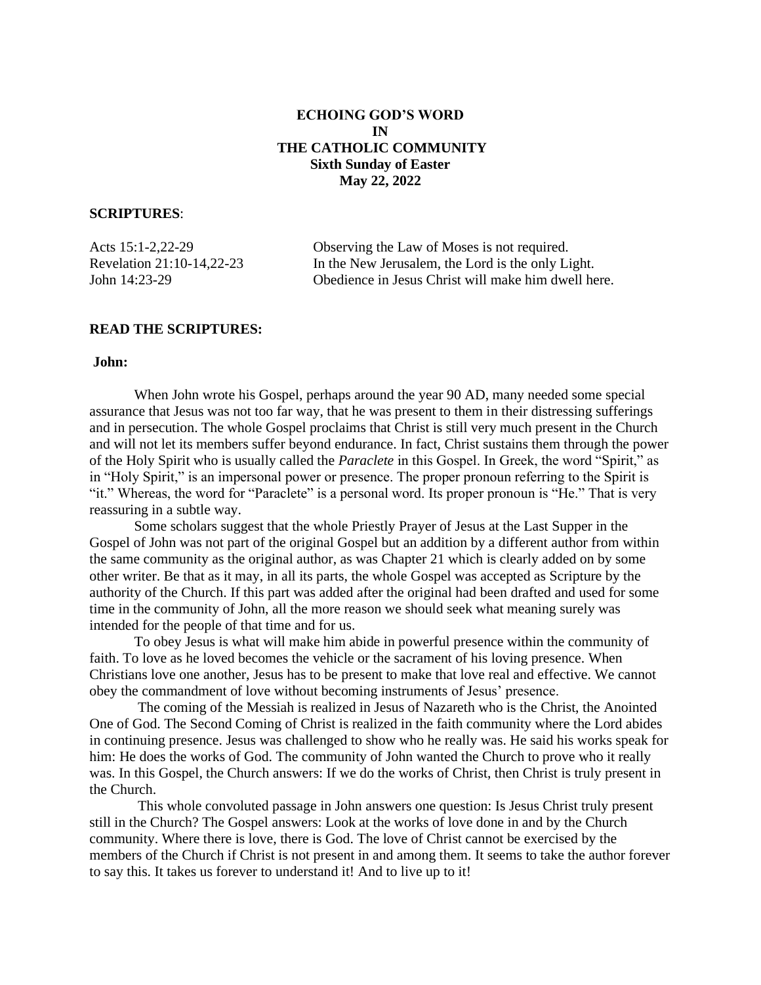# **ECHOING GOD'S WORD IN THE CATHOLIC COMMUNITY Sixth Sunday of Easter May 22, 2022**

### **SCRIPTURES**:

| Acts $15:1-2,22-29$       | Observing the Law of Moses is not required.         |
|---------------------------|-----------------------------------------------------|
| Revelation 21:10-14,22-23 | In the New Jerusalem, the Lord is the only Light.   |
| John 14:23-29             | Obedience in Jesus Christ will make him dwell here. |

### **READ THE SCRIPTURES:**

#### **John:**

When John wrote his Gospel, perhaps around the year 90 AD, many needed some special assurance that Jesus was not too far way, that he was present to them in their distressing sufferings and in persecution. The whole Gospel proclaims that Christ is still very much present in the Church and will not let its members suffer beyond endurance. In fact, Christ sustains them through the power of the Holy Spirit who is usually called the *Paraclete* in this Gospel. In Greek, the word "Spirit," as in "Holy Spirit," is an impersonal power or presence. The proper pronoun referring to the Spirit is "it." Whereas, the word for "Paraclete" is a personal word. Its proper pronoun is "He." That is very reassuring in a subtle way.

Some scholars suggest that the whole Priestly Prayer of Jesus at the Last Supper in the Gospel of John was not part of the original Gospel but an addition by a different author from within the same community as the original author, as was Chapter 21 which is clearly added on by some other writer. Be that as it may, in all its parts, the whole Gospel was accepted as Scripture by the authority of the Church. If this part was added after the original had been drafted and used for some time in the community of John, all the more reason we should seek what meaning surely was intended for the people of that time and for us.

To obey Jesus is what will make him abide in powerful presence within the community of faith. To love as he loved becomes the vehicle or the sacrament of his loving presence. When Christians love one another, Jesus has to be present to make that love real and effective. We cannot obey the commandment of love without becoming instruments of Jesus' presence.

The coming of the Messiah is realized in Jesus of Nazareth who is the Christ, the Anointed One of God. The Second Coming of Christ is realized in the faith community where the Lord abides in continuing presence. Jesus was challenged to show who he really was. He said his works speak for him: He does the works of God. The community of John wanted the Church to prove who it really was. In this Gospel, the Church answers: If we do the works of Christ, then Christ is truly present in the Church.

This whole convoluted passage in John answers one question: Is Jesus Christ truly present still in the Church? The Gospel answers: Look at the works of love done in and by the Church community. Where there is love, there is God. The love of Christ cannot be exercised by the members of the Church if Christ is not present in and among them. It seems to take the author forever to say this. It takes us forever to understand it! And to live up to it!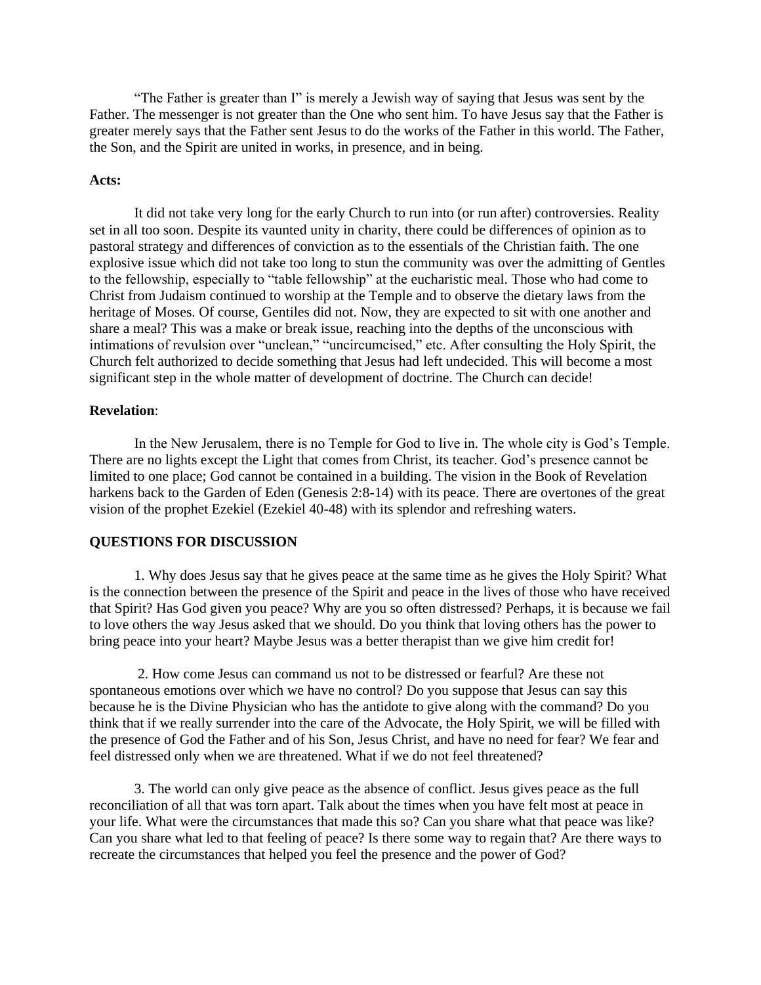"The Father is greater than I" is merely a Jewish way of saying that Jesus was sent by the Father. The messenger is not greater than the One who sent him. To have Jesus say that the Father is greater merely says that the Father sent Jesus to do the works of the Father in this world. The Father, the Son, and the Spirit are united in works, in presence, and in being.

#### **Acts:**

It did not take very long for the early Church to run into (or run after) controversies. Reality set in all too soon. Despite its vaunted unity in charity, there could be differences of opinion as to pastoral strategy and differences of conviction as to the essentials of the Christian faith. The one explosive issue which did not take too long to stun the community was over the admitting of Gentles to the fellowship, especially to "table fellowship" at the eucharistic meal. Those who had come to Christ from Judaism continued to worship at the Temple and to observe the dietary laws from the heritage of Moses. Of course, Gentiles did not. Now, they are expected to sit with one another and share a meal? This was a make or break issue, reaching into the depths of the unconscious with intimations of revulsion over "unclean," "uncircumcised," etc. After consulting the Holy Spirit, the Church felt authorized to decide something that Jesus had left undecided. This will become a most significant step in the whole matter of development of doctrine. The Church can decide!

### **Revelation**:

In the New Jerusalem, there is no Temple for God to live in. The whole city is God's Temple. There are no lights except the Light that comes from Christ, its teacher. God's presence cannot be limited to one place; God cannot be contained in a building. The vision in the Book of Revelation harkens back to the Garden of Eden (Genesis 2:8-14) with its peace. There are overtones of the great vision of the prophet Ezekiel (Ezekiel 40-48) with its splendor and refreshing waters.

#### **QUESTIONS FOR DISCUSSION**

1. Why does Jesus say that he gives peace at the same time as he gives the Holy Spirit? What is the connection between the presence of the Spirit and peace in the lives of those who have received that Spirit? Has God given you peace? Why are you so often distressed? Perhaps, it is because we fail to love others the way Jesus asked that we should. Do you think that loving others has the power to bring peace into your heart? Maybe Jesus was a better therapist than we give him credit for!

2. How come Jesus can command us not to be distressed or fearful? Are these not spontaneous emotions over which we have no control? Do you suppose that Jesus can say this because he is the Divine Physician who has the antidote to give along with the command? Do you think that if we really surrender into the care of the Advocate, the Holy Spirit, we will be filled with the presence of God the Father and of his Son, Jesus Christ, and have no need for fear? We fear and feel distressed only when we are threatened. What if we do not feel threatened?

3. The world can only give peace as the absence of conflict. Jesus gives peace as the full reconciliation of all that was torn apart. Talk about the times when you have felt most at peace in your life. What were the circumstances that made this so? Can you share what that peace was like? Can you share what led to that feeling of peace? Is there some way to regain that? Are there ways to recreate the circumstances that helped you feel the presence and the power of God?